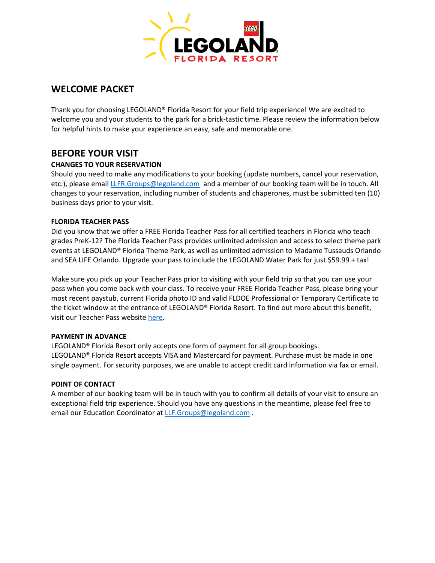

## **WELCOME PACKET**

Thank you for choosing LEGOLAND® Florida Resort for your field trip experience! We are excited to welcome you and your students to the park for a brick-tastic time. Please review the information below for helpful hints to make your experience an easy, safe and memorable one.

## **BEFORE YOUR VISIT**

## **CHANGES TO YOUR RESERVATION**

Should you need to make any modifications to your booking (update numbers, cancel your reservation, etc.), please emai[l LLFR.Groups@legoland.com](mailto:LLFR.Groups@legoland.com) and a member of our booking team will be in touch. All changes to your reservation, including number of students and chaperones, must be submitted ten (10) business days prior to your visit.

## **FLORIDA TEACHER PASS**

Did you know that we offer a FREE Florida Teacher Pass for all certified teachers in Florida who teach grades PreK-12? The Florida Teacher Pass provides unlimited admission and access to select theme park events at LEGOLAND® Florida Theme Park, as well as unlimited admission to Madame Tussauds Orlando and SEA LIFE Orlando. Upgrade your pass to include the LEGOLAND Water Park for just \$59.99 + tax!

Make sure you pick up your Teacher Pass prior to visiting with your field trip so that you can use your pass when you come back with your class. To receive your FREE Florida Teacher Pass, please bring your most recent paystub, current Florida photo ID and valid FLDOE Professional or Temporary Certificate to the ticket window at the entrance of LEGOLAND® Florida Resort. To find out more about this benefit, visit our Teacher Pass website [here.](https://www.legoland.com/florida/tickets-passes/tickets/groups/school-groups/florida-teacher-pass/)

### **PAYMENT IN ADVANCE**

LEGOLAND® Florida Resort only accepts one form of payment for all group bookings. LEGOLAND® Florida Resort accepts VISA and Mastercard for payment. Purchase must be made in one single payment. For security purposes, we are unable to accept credit card information via fax or email.

### **POINT OF CONTACT**

A member of our booking team will be in touch with you to confirm all details of your visit to ensure an exceptional field trip experience. Should you have any questions in the meantime, please feel free to email our Education Coordinator at [LLF.Groups@legoland.com](mailto:LLF.Groups@legoland.com).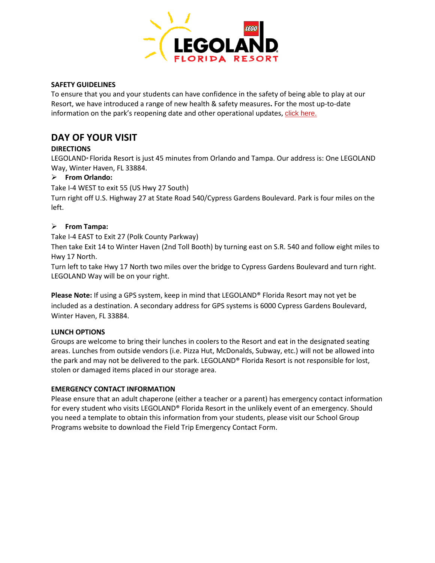

### **SAFETY GUIDELINES**

To ensure that you and your students can have confidence in the safety of being able to play at our Resort, we have introduced a range of new health & safety measures**.** For the most up-to-date information on the park's reopening date and other operational updates**,** [click here.](https://www.legoland.com/florida/security-privacy/operations-update/)

# **DAY OF YOUR VISIT**

## **DIRECTIONS**

LEGOLAND® Florida Resort is just 45 minutes from Orlando and Tampa. Our address is: One LEGOLAND Way, Winter Haven, FL 33884.

## ➢ **From Orlando:**

Take I-4 WEST to exit 55 (US Hwy 27 South)

Turn right off U.S. Highway 27 at State Road 540/Cypress Gardens Boulevard. Park is four miles on the left.

## ➢ **From Tampa:**

Take I-4 EAST to Exit 27 (Polk County Parkway)

Then take Exit 14 to Winter Haven (2nd Toll Booth) by turning east on S.R. 540 and follow eight miles to Hwy 17 North.

Turn left to take Hwy 17 North two miles over the bridge to Cypress Gardens Boulevard and turn right. LEGOLAND Way will be on your right.

**Please Note:** If using a GPS system, keep in mind that LEGOLAND® Florida Resort may not yet be included as a destination. A secondary address for GPS systems is 6000 Cypress Gardens Boulevard, Winter Haven, FL 33884.

## **LUNCH OPTIONS**

Groups are welcome to bring their lunches in coolers to the Resort and eat in the designated seating areas. Lunches from outside vendors (i.e. Pizza Hut, McDonalds, Subway, etc.) will not be allowed into the park and may not be delivered to the park. LEGOLAND® Florida Resort is not responsible for lost, stolen or damaged items placed in our storage area.

## **EMERGENCY CONTACT INFORMATION**

Please ensure that an adult chaperone (either a teacher or a parent) has emergency contact information for every student who visits LEGOLAND® Florida Resort in the unlikely event of an emergency. Should you need a template to obtain this information from your students, please visit our School Group Programs website to download the Field Trip Emergency Contact Form.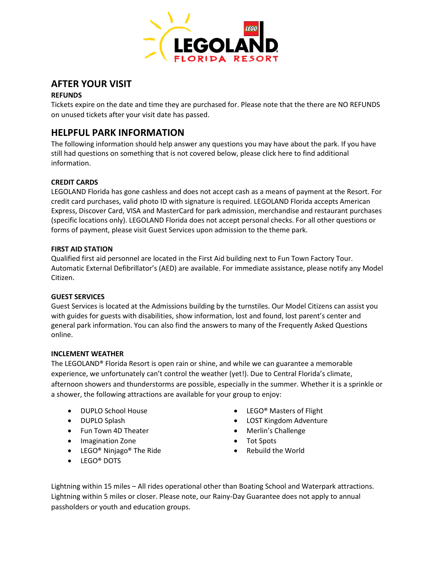

# **AFTER YOUR VISIT**

## **REFUNDS**

Tickets expire on the date and time they are purchased for. Please note that the there are NO REFUNDS on unused tickets after your visit date has passed.

# **HELPFUL PARK INFORMATION**

The following information should help answer any questions you may have about the park. If you have still had questions on something that is not covered below, please click here to find additional information.

## **CREDIT CARDS**

LEGOLAND Florida has gone cashless and does not accept cash as a means of payment at the Resort. For credit card purchases, valid photo ID with signature is required. LEGOLAND Florida accepts American Express, Discover Card, VISA and MasterCard for park admission, merchandise and restaurant purchases (specific locations only). LEGOLAND Florida does not accept personal checks. For all other questions or forms of payment, please visit Guest Services upon admission to the theme park.

## **FIRST AID STATION**

Qualified first aid personnel are located in the First Aid building next to Fun Town Factory Tour. Automatic External Defibrillator's (AED) are available. For immediate assistance, please notify any Model Citizen.

### **GUEST SERVICES**

Guest Services is located at the Admissions building by the turnstiles. Our Model Citizens can assist you with guides for guests with disabilities, show information, lost and found, lost parent's center and general park information. You can also find the answers to many of the Frequently Asked Questions online.

### **INCLEMENT WEATHER**

The LEGOLAND® Florida Resort is open rain or shine, and while we can guarantee a memorable experience, we unfortunately can't control the weather (yet!). Due to Central Florida's climate, afternoon showers and thunderstorms are possible, especially in the summer. Whether it is a sprinkle or a shower, the following attractions are available for your group to enjoy:

- 
- 
- Fun Town 4D Theater Merlin's Challenge
- Imagination Zone **•** Tot Spots
- LEGO® Ninjago® The Ride
- LEGO® DOTS
- DUPLO School House  **LEGO®** Masters of Flight
- DUPLO Splash LOST Kingdom Adventure
	-
	-
	- Rebuild the World

Lightning within 15 miles – All rides operational other than Boating School and Waterpark attractions. Lightning within 5 miles or closer. Please note, our Rainy-Day Guarantee does not apply to annual passholders or youth and education groups.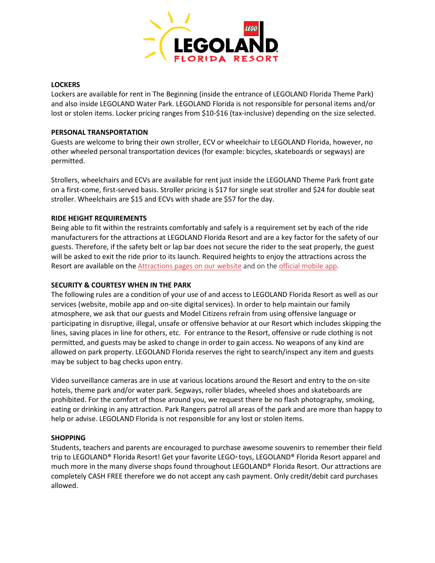

#### **LOCKERS**

Lockers are available for rent in The Beginning (inside the entrance of LEGOLAND Florida Theme Park) and also inside LEGOLAND Water Park. LEGOLAND Florida is not responsible for personal items and/or lost or stolen items. Locker pricing ranges from \$10-\$16 (tax-inclusive) depending on the size selected.

### **PERSONAL TRANSPORTATION**

Guests are welcome to bring their own stroller, ECV or wheelchair to LEGOLAND Florida, however, no other wheeled personal transportation devices (for example: bicycles, skateboards or segways) are permitted.

Strollers, wheelchairs and ECVs are available for rent just inside the LEGOLAND Theme Park front gate on a first-come, first-served basis. Stroller pricing is \$17 for single seat stroller and \$24 for double seat stroller. Wheelchairs are \$15 and ECVs with shade are \$57 for the day.

## **RIDE HEIGHT REQUIREMENTS**

Being able to fit within the restraints comfortably and safely is a requirement set by each of the ride manufacturers for the attractions at LEGOLAND Florida Resort and are a key factor for the safety of our guests. Therefore, if the safety belt or lap bar does not secure the rider to the seat properly, the guest will be asked to exit the ride prior to its launch. Required heights to enjoy the attractions across the Resort are available on the [Attractions pages on our](https://www.legoland.com/florida/things-to-do/theme-park/rides-attractions/) website and on the [official mobile app.](https://www.legoland.com/florida/plan-your-visit/planning-tools/mobile-app/)

### **SECURITY & COURTESY WHEN IN THE PARK**

The following rules are a condition of your use of and access to LEGOLAND Florida Resort as well as our services (website, mobile app and on-site digital services). In order to help maintain our family atmosphere, we ask that our guests and Model Citizens refrain from using offensive language or participating in disruptive, illegal, unsafe or offensive behavior at our Resort which includes skipping the lines, saving places in line for others, etc. For entrance to the Resort, offensive or rude clothing is not permitted, and guests may be asked to change in order to gain access. No weapons of any kind are allowed on park property. LEGOLAND Florida reserves the right to search/inspect any item and guests may be subject to bag checks upon entry.

Video surveillance cameras are in use at various locations around the Resort and entry to the on-site hotels, theme park and/or water park. Segways, roller blades, wheeled shoes and skateboards are prohibited. For the comfort of those around you, we request there be no flash photography, smoking, eating or drinking in any attraction. Park Rangers patrol all areas of the park and are more than happy to help or advise. LEGOLAND Florida is not responsible for any lost or stolen items.

### **SHOPPING**

Students, teachers and parents are encouraged to purchase awesome souvenirs to remember their field trip to LEGOLAND® Florida Resort! Get your favorite LEGO® toys, LEGOLAND® Florida Resort apparel and much more in the many diverse shops found throughout LEGOLAND® Florida Resort. Our attractions are completely CASH FREE therefore we do not accept any cash payment. Only credit/debit card purchases allowed.